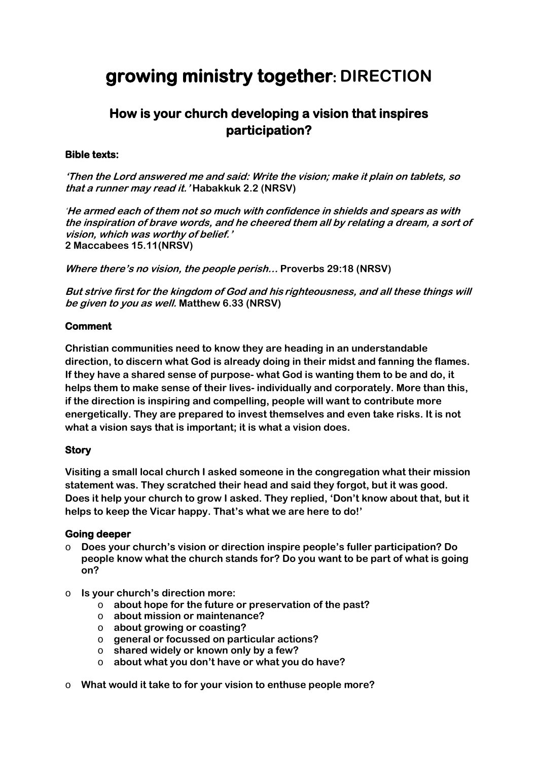# **growing ministry together: DIRECTION**

## **How is your church developing a vision that inspires participation?**

#### **Bible texts:**

**'Then the Lord answered me and said: Write the vision; make it plain on tablets, so that a runner may read it.' Habakkuk 2.2 (NRSV)** 

**'He armed each of them not so much with confidence in shields and spears as with the inspiration of brave words, and he cheered them all by relating a dream, a sort of vision, which was worthy of belief.' 2 Maccabees 15.11(NRSV)**

**Where there's no vision, the people perish… Proverbs 29:18 (NRSV)**

**But strive first for the kingdom of God and his righteousness, and all these things will be given to you as well. Matthew 6.33 (NRSV)**

#### **Comment**

**Christian communities need to know they are heading in an understandable direction, to discern what God is already doing in their midst and fanning the flames. If they have a shared sense of purpose- what God is wanting them to be and do, it helps them to make sense of their lives- individually and corporately. More than this, if the direction is inspiring and compelling, people will want to contribute more energetically. They are prepared to invest themselves and even take risks. It is not what a vision says that is important; it is what a vision does.**

#### **Story**

**Visiting a small local church I asked someone in the congregation what their mission statement was. They scratched their head and said they forgot, but it was good. Does it help your church to grow I asked. They replied, 'Don't know about that, but it helps to keep the Vicar happy. That's what we are here to do!'** 

#### **Going deeper**

- o **Does your church's vision or direction inspire people's fuller participation? Do people know what the church stands for? Do you want to be part of what is going on?**
- o **Is your church's direction more:**
	- o **about hope for the future or preservation of the past?**
	- o **about mission or maintenance?**
	- o **about growing or coasting?**
	- o **general or focussed on particular actions?**
	- o **shared widely or known only by a few?**
	- o **about what you don't have or what you do have?**
- o **What would it take to for your vision to enthuse people more?**